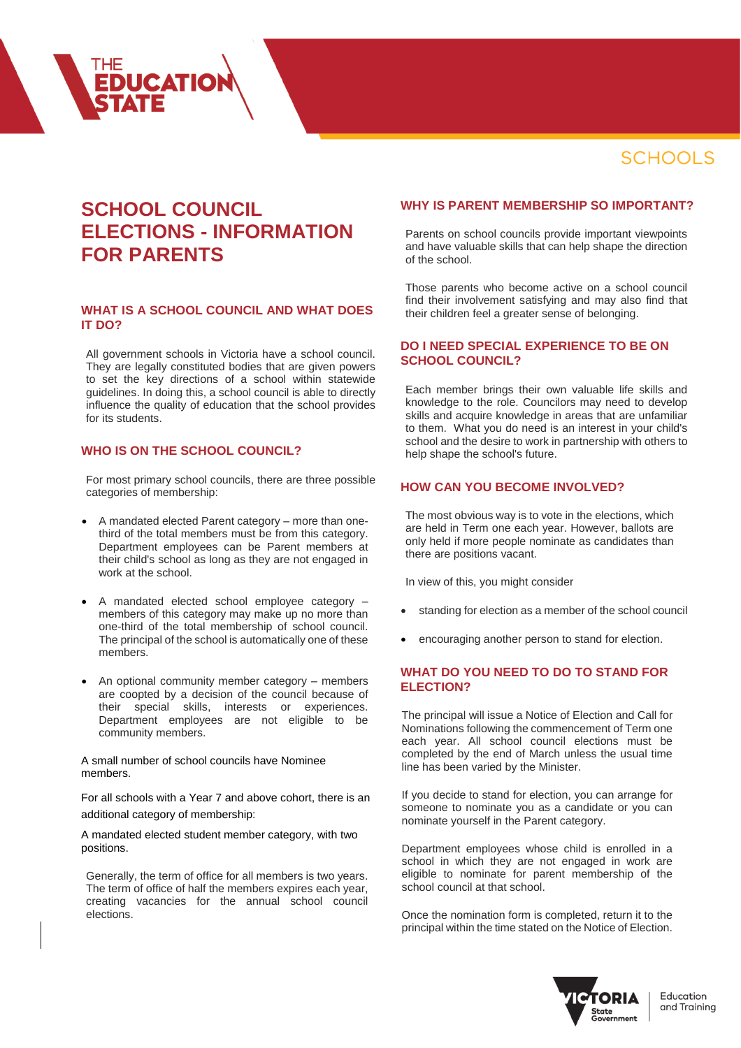# **SCHOOLS**

# **SCHOOL COUNCIL ELECTIONS - INFORMATION FOR PARENTS**

**EDUCATION** 

## **WHAT IS A SCHOOL COUNCIL AND WHAT DOES IT DO?**

All government schools in Victoria have a school council. They are legally constituted bodies that are given powers to set the key directions of a school within statewide guidelines. In doing this, a school council is able to directly influence the quality of education that the school provides for its students.

#### **WHO IS ON THE SCHOOL COUNCIL?**

For most primary school councils, there are three possible categories of membership:

- A mandated elected Parent category more than onethird of the total members must be from this category. Department employees can be Parent members at their child's school as long as they are not engaged in work at the school.
- A mandated elected school employee category members of this category may make up no more than one-third of the total membership of school council. The principal of the school is automatically one of these members.
- An optional community member category members are coopted by a decision of the council because of their special skills, interests or experiences. Department employees are not eligible to be community members.

A small number of school councils have Nominee members.

For all schools with a Year 7 and above cohort, there is an additional category of membership:

A mandated elected student member category, with two positions.

Generally, the term of office for all members is two years. The term of office of half the members expires each year, creating vacancies for the annual school council elections.

#### **WHY IS PARENT MEMBERSHIP SO IMPORTANT?**

Parents on school councils provide important viewpoints and have valuable skills that can help shape the direction of the school.

Those parents who become active on a school council find their involvement satisfying and may also find that their children feel a greater sense of belonging.

#### **DO I NEED SPECIAL EXPERIENCE TO BE ON SCHOOL COUNCIL?**

Each member brings their own valuable life skills and knowledge to the role. Councilors may need to develop skills and acquire knowledge in areas that are unfamiliar to them. What you do need is an interest in your child's school and the desire to work in partnership with others to help shape the school's future.

## **HOW CAN YOU BECOME INVOLVED?**

The most obvious way is to vote in the elections, which are held in Term one each year. However, ballots are only held if more people nominate as candidates than there are positions vacant.

In view of this, you might consider

- standing for election as a member of the school council
- encouraging another person to stand for election.

#### **WHAT DO YOU NEED TO DO TO STAND FOR ELECTION?**

The principal will issue a Notice of Election and Call for Nominations following the commencement of Term one each year. All school council elections must be completed by the end of March unless the usual time line has been varied by the Minister.

If you decide to stand for election, you can arrange for someone to nominate you as a candidate or you can nominate yourself in the Parent category.

Department employees whose child is enrolled in a school in which they are not engaged in work are eligible to nominate for parent membership of the school council at that school.

Once the nomination form is completed, return it to the principal within the time stated on the Notice of Election.